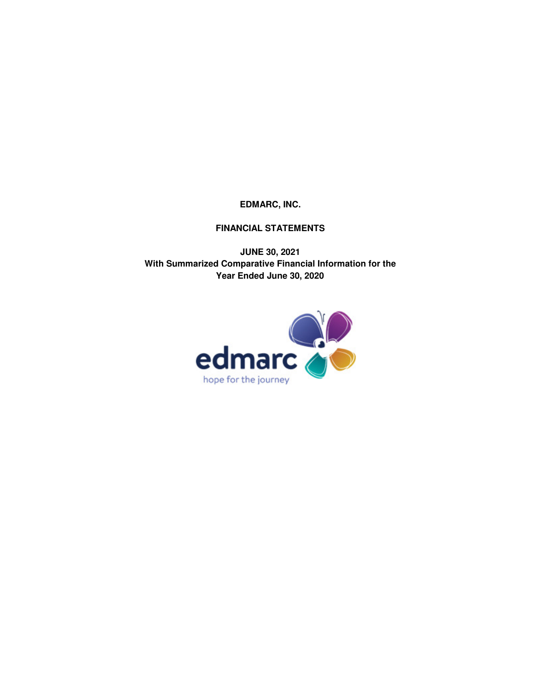# **FINANCIAL STATEMENTS**

**JUNE 30, 2021 Year Ended June 30, 2020 With Summarized Comparative Financial Information for the**

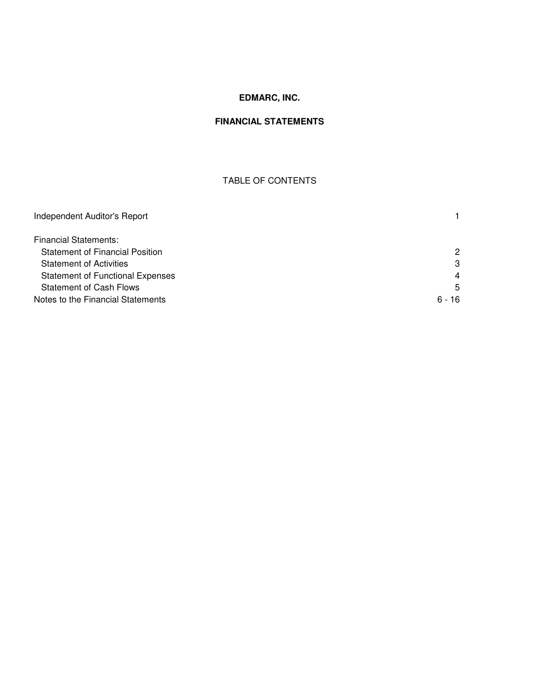# **FINANCIAL STATEMENTS**

# TABLE OF CONTENTS

| Independent Auditor's Report            |                |
|-----------------------------------------|----------------|
| <b>Financial Statements:</b>            |                |
| <b>Statement of Financial Position</b>  | 2              |
| <b>Statement of Activities</b>          | 3              |
| <b>Statement of Functional Expenses</b> | $\overline{4}$ |
| <b>Statement of Cash Flows</b>          | 5              |
| Notes to the Financial Statements       | $6 - 16$       |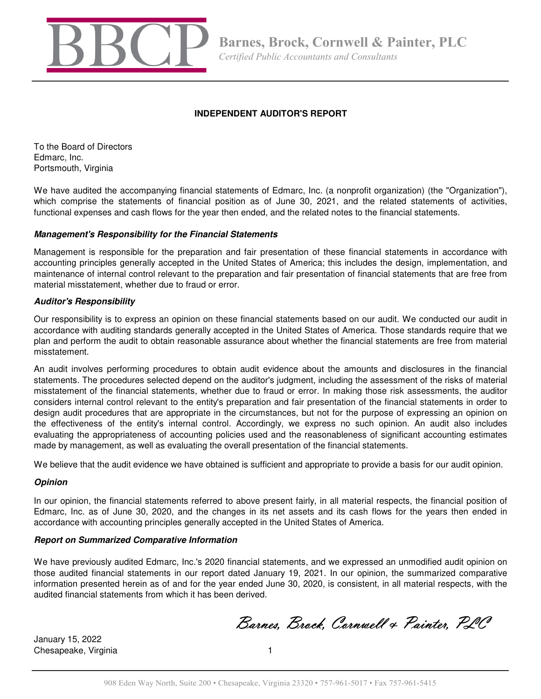

# **INDEPENDENT AUDITOR'S REPORT**

To the Board of Directors Edmarc, Inc. Portsmouth, Virginia

We have audited the accompanying financial statements of Edmarc, Inc. (a nonprofit organization) (the "Organization"), which comprise the statements of financial position as of June 30, 2021, and the related statements of activities, functional expenses and cash flows for the year then ended, and the related notes to the financial statements.

### **Management's Responsibility for the Financial Statements**

Management is responsible for the preparation and fair presentation of these financial statements in accordance with accounting principles generally accepted in the United States of America; this includes the design, implementation, and maintenance of internal control relevant to the preparation and fair presentation of financial statements that are free from material misstatement, whether due to fraud or error.

# **Auditor's Responsibility**

Our responsibility is to express an opinion on these financial statements based on our audit. We conducted our audit in accordance with auditing standards generally accepted in the United States of America. Those standards require that we plan and perform the audit to obtain reasonable assurance about whether the financial statements are free from material misstatement.

An audit involves performing procedures to obtain audit evidence about the amounts and disclosures in the financial statements. The procedures selected depend on the auditor's judgment, including the assessment of the risks of material misstatement of the financial statements, whether due to fraud or error. In making those risk assessments, the auditor considers internal control relevant to the entity's preparation and fair presentation of the financial statements in order to design audit procedures that are appropriate in the circumstances, but not for the purpose of expressing an opinion on the effectiveness of the entity's internal control. Accordingly, we express no such opinion. An audit also includes evaluating the appropriateness of accounting policies used and the reasonableness of significant accounting estimates made by management, as well as evaluating the overall presentation of the financial statements.

We believe that the audit evidence we have obtained is sufficient and appropriate to provide a basis for our audit opinion.

# **Opinion**

In our opinion, the financial statements referred to above present fairly, in all material respects, the financial position of Edmarc, Inc. as of June 30, 2020, and the changes in its net assets and its cash flows for the years then ended in accordance with accounting principles generally accepted in the United States of America.

# **Report on Summarized Comparative Information**

We have previously audited Edmarc, Inc.'s 2020 financial statements, and we expressed an unmodified audit opinion on those audited financial statements in our report dated January 19, 2021. In our opinion, the summarized comparative information presented herein as of and for the year ended June 30, 2020, is consistent, in all material respects, with the audited financial statements from which it has been derived.

Barnes, Brock, Cornwell & Painter, PLC

January 15, 2022 Chesapeake, Virginia 1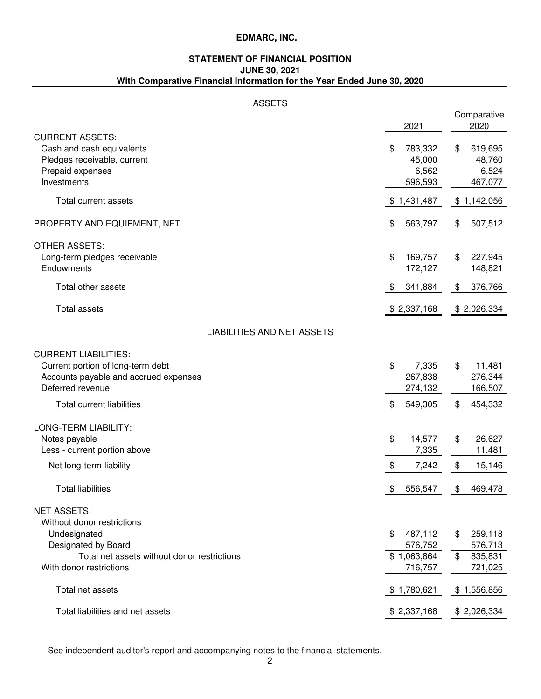# **STATEMENT OF FINANCIAL POSITION JUNE 30, 2021 With Comparative Financial Information for the Year Ended June 30, 2020**

# ASSETS

|                                             |               | Comparative              |
|---------------------------------------------|---------------|--------------------------|
|                                             | 2021          | 2020                     |
| <b>CURRENT ASSETS:</b>                      |               |                          |
| Cash and cash equivalents                   | \$<br>783,332 | \$<br>619,695            |
| Pledges receivable, current                 | 45,000        | 48,760                   |
| Prepaid expenses                            | 6,562         | 6,524                    |
| Investments                                 | 596,593       | 467,077                  |
| <b>Total current assets</b>                 | \$1,431,487   | \$1,142,056              |
| PROPERTY AND EQUIPMENT, NET                 | \$<br>563,797 | 507,512<br>\$            |
| <b>OTHER ASSETS:</b>                        |               |                          |
| Long-term pledges receivable                | \$<br>169,757 | \$<br>227,945            |
| Endowments                                  | 172,127       | 148,821                  |
| Total other assets                          | \$<br>341,884 | 376,766<br>\$            |
| <b>Total assets</b>                         | \$2,337,168   | \$2,026,334              |
| <b>LIABILITIES AND NET ASSETS</b>           |               |                          |
| <b>CURRENT LIABILITIES:</b>                 |               |                          |
| Current portion of long-term debt           | \$<br>7,335   | 11,481<br>\$             |
| Accounts payable and accrued expenses       | 267,838       | 276,344                  |
| Deferred revenue                            | 274,132       | 166,507                  |
| <b>Total current liabilities</b>            | \$<br>549,305 | \$<br>454,332            |
| LONG-TERM LIABILITY:                        |               |                          |
| Notes payable                               | \$<br>14,577  | 26,627<br>\$             |
| Less - current portion above                | 7,335         | 11,481                   |
| Net long-term liability                     | \$<br>7,242   | \$<br>15,146             |
| <b>Total liabilities</b>                    | \$<br>556,547 | 469,478<br>\$            |
| <b>NET ASSETS:</b>                          |               |                          |
| Without donor restrictions                  |               |                          |
| Undesignated                                | \$<br>487,112 | 259,118<br>\$            |
| Designated by Board                         | 576,752       | 576,713                  |
| Total net assets without donor restrictions | \$1,063,864   | 835,831<br>$\frac{1}{2}$ |
| With donor restrictions                     | 716,757       | 721,025                  |
| Total net assets                            | \$1,780,621   | \$1,556,856              |
| Total liabilities and net assets            | \$2,337,168   | \$2,026,334              |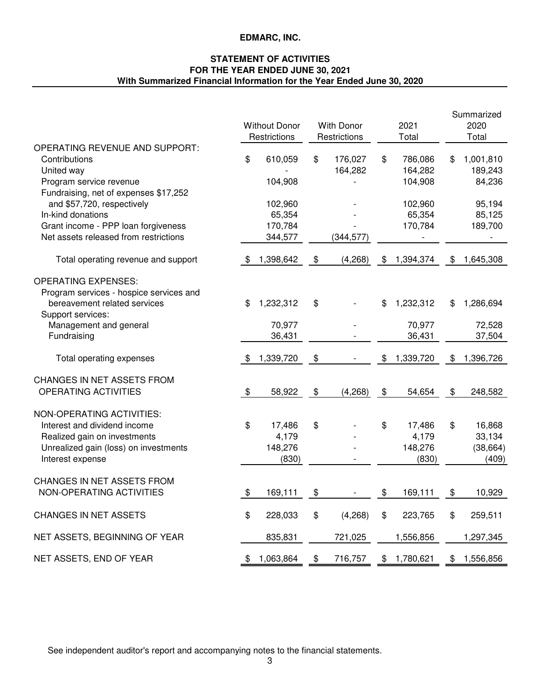# **With Summarized Financial Information for the Year Ended June 30, 2020 STATEMENT OF ACTIVITIES FOR THE YEAR ENDED JUNE 30, 2021**

|                                                                                                                                                        |                            | <b>Without Donor</b><br>Restrictions    | <b>With Donor</b><br>Restrictions | 2021<br>Total                             | Summarized<br>2020<br>Total                  |
|--------------------------------------------------------------------------------------------------------------------------------------------------------|----------------------------|-----------------------------------------|-----------------------------------|-------------------------------------------|----------------------------------------------|
| OPERATING REVENUE AND SUPPORT:<br>Contributions<br>United way<br>Program service revenue<br>Fundraising, net of expenses \$17,252                      | \$                         | 610,059<br>104,908                      | \$<br>176,027<br>164,282          | \$<br>786,086<br>164,282<br>104,908       | \$<br>1,001,810<br>189,243<br>84,236         |
| and \$57,720, respectively<br>In-kind donations<br>Grant income - PPP loan forgiveness<br>Net assets released from restrictions                        |                            | 102,960<br>65,354<br>170,784<br>344,577 | (344, 577)                        | 102,960<br>65,354<br>170,784              | 95,194<br>85,125<br>189,700                  |
| Total operating revenue and support                                                                                                                    | - \$                       | 1,398,642                               | \$<br>(4,268)                     | \$<br>1,394,374                           | \$<br>1,645,308                              |
| <b>OPERATING EXPENSES:</b><br>Program services - hospice services and<br>bereavement related services<br>Support services:                             | \$                         | 1,232,312                               | \$                                | \$<br>1,232,312                           | \$<br>1,286,694                              |
| Management and general<br>Fundraising                                                                                                                  |                            | 70,977<br>36,431                        |                                   | 70,977<br>36,431                          | 72,528<br>37,504                             |
| Total operating expenses                                                                                                                               | \$                         | 1,339,720                               | \$                                | \$<br>1,339,720                           | \$<br>1,396,726                              |
| CHANGES IN NET ASSETS FROM<br>OPERATING ACTIVITIES                                                                                                     | $\frac{1}{2}$              | 58,922                                  | \$<br>(4,268)                     | \$<br>54,654                              | \$<br>248,582                                |
| NON-OPERATING ACTIVITIES:<br>Interest and dividend income<br>Realized gain on investments<br>Unrealized gain (loss) on investments<br>Interest expense | \$                         | 17,486<br>4,179<br>148,276<br>(830)     | \$                                | \$<br>17,486<br>4,179<br>148,276<br>(830) | \$<br>16,868<br>33,134<br>(38, 664)<br>(409) |
| CHANGES IN NET ASSETS FROM<br>NON-OPERATING ACTIVITIES                                                                                                 | $\boldsymbol{\mathcal{F}}$ | 169,111                                 | \$                                | \$<br>169,111                             | \$<br>10,929                                 |
| <b>CHANGES IN NET ASSETS</b>                                                                                                                           | \$                         | 228,033                                 | \$<br>(4,268)                     | \$<br>223,765                             | \$<br>259,511                                |
| NET ASSETS, BEGINNING OF YEAR                                                                                                                          |                            | 835,831                                 | 721,025                           | 1,556,856                                 | 1,297,345                                    |
| NET ASSETS, END OF YEAR                                                                                                                                | \$                         | 1,063,864                               | \$<br>716,757                     | \$<br>1,780,621                           | \$<br>1,556,856                              |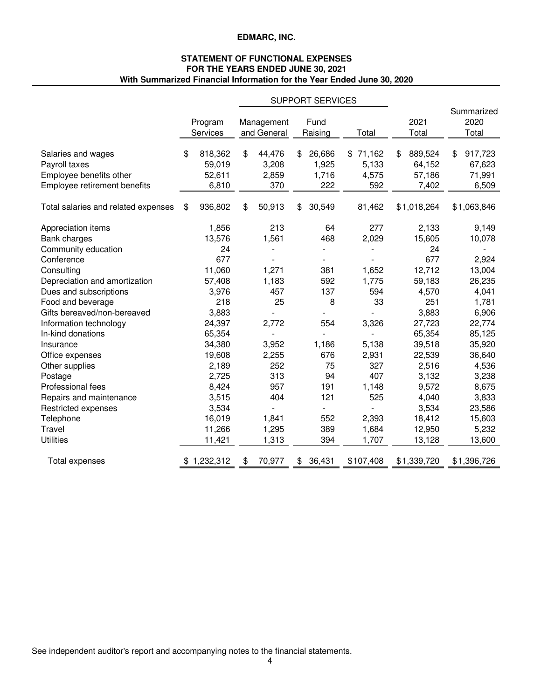# **STATEMENT OF FUNCTIONAL EXPENSES FOR THE YEARS ENDED JUNE 30, 2021 With Summarized Financial Information for the Year Ended June 30, 2020**

|                                                                                                |                                            |                                       | <b>SUPPORT SERVICES</b>               |                                   |                                            |                                            |
|------------------------------------------------------------------------------------------------|--------------------------------------------|---------------------------------------|---------------------------------------|-----------------------------------|--------------------------------------------|--------------------------------------------|
|                                                                                                | Program<br>Services                        | Management<br>and General             | Fund<br>Raising                       | Total                             | 2021<br>Total                              | Summarized<br>2020<br>Total                |
| Salaries and wages<br>Payroll taxes<br>Employee benefits other<br>Employee retirement benefits | \$<br>818,362<br>59,019<br>52,611<br>6,810 | \$<br>44,476<br>3,208<br>2,859<br>370 | \$<br>26,686<br>1,925<br>1,716<br>222 | \$71,162<br>5,133<br>4,575<br>592 | \$<br>889,524<br>64,152<br>57,186<br>7,402 | 917,723<br>\$<br>67,623<br>71,991<br>6,509 |
| Total salaries and related expenses                                                            | \$<br>936,802                              | \$<br>50,913                          | \$<br>30,549                          | 81,462                            | \$1,018,264                                | \$1,063,846                                |
| Appreciation items<br>Bank charges<br>Community education                                      | 1,856<br>13,576<br>24                      | 213<br>1,561                          | 64<br>468                             | 277<br>2,029                      | 2,133<br>15,605<br>24                      | 9,149<br>10,078                            |
| Conference<br>Consulting                                                                       | 677<br>11,060                              | 1,271                                 | 381                                   | 1,652                             | 677<br>12,712                              | 2,924<br>13,004                            |
| Depreciation and amortization<br>Dues and subscriptions<br>Food and beverage                   | 57,408<br>3,976<br>218                     | 1,183<br>457<br>25                    | 592<br>137<br>8                       | 1,775<br>594<br>33                | 59,183<br>4,570<br>251                     | 26,235<br>4,041<br>1,781                   |
| Gifts bereaved/non-bereaved<br>Information technology                                          | 3,883<br>24,397                            | 2,772                                 | 554                                   | 3,326                             | 3,883<br>27,723                            | 6,906<br>22,774                            |
| In-kind donations<br>Insurance                                                                 | 65,354<br>34,380                           | 3,952                                 | 1,186                                 | 5,138                             | 65,354<br>39,518                           | 85,125<br>35,920                           |
| Office expenses<br>Other supplies<br>Postage                                                   | 19,608<br>2,189<br>2,725                   | 2,255<br>252<br>313                   | 676<br>75<br>94                       | 2,931<br>327<br>407               | 22,539<br>2,516<br>3,132                   | 36,640<br>4,536<br>3,238                   |
| Professional fees<br>Repairs and maintenance                                                   | 8,424<br>3,515                             | 957<br>404                            | 191<br>121                            | 1,148<br>525                      | 9,572<br>4,040                             | 8,675<br>3,833                             |
| Restricted expenses<br>Telephone                                                               | 3,534<br>16,019                            | 1,841                                 | $\frac{1}{2}$<br>552                  | 2,393                             | 3,534<br>18,412                            | 23,586<br>15,603                           |
| Travel<br><b>Utilities</b>                                                                     | 11,266<br>11,421                           | 1,295<br>1,313                        | 389<br>394                            | 1,684<br>1,707                    | 12,950<br>13,128                           | 5,232<br>13,600                            |
| Total expenses                                                                                 | 1,232,312                                  | \$<br>70,977                          | \$<br>36,431                          | \$107,408                         | \$1,339,720                                | \$1,396,726                                |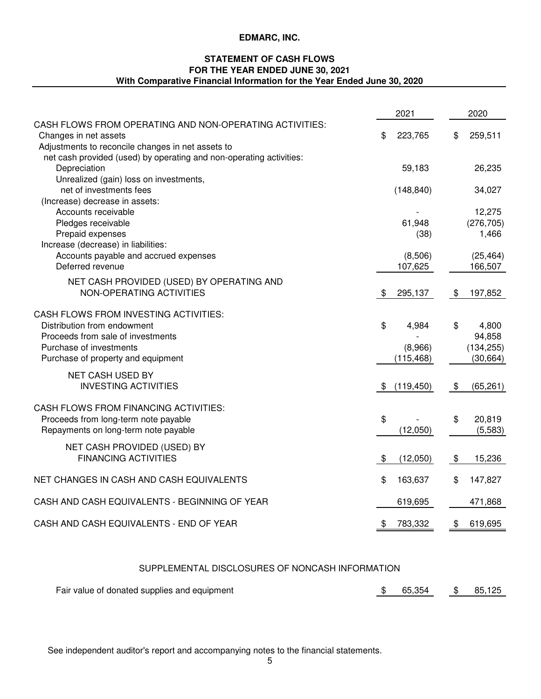# **FOR THE YEAR ENDED JUNE 30, 2021 STATEMENT OF CASH FLOWS With Comparative Financial Information for the Year Ended June 30, 2020**

|                                                                                                                                                                                                              | 2021             | 2020            |
|--------------------------------------------------------------------------------------------------------------------------------------------------------------------------------------------------------------|------------------|-----------------|
| CASH FLOWS FROM OPERATING AND NON-OPERATING ACTIVITIES:<br>Changes in net assets<br>Adjustments to reconcile changes in net assets to<br>net cash provided (used) by operating and non-operating activities: | \$<br>223,765    | \$<br>259,511   |
| Depreciation<br>Unrealized (gain) loss on investments,                                                                                                                                                       | 59,183           | 26,235          |
| net of investments fees                                                                                                                                                                                      | (148, 840)       | 34,027          |
| (Increase) decrease in assets:                                                                                                                                                                               |                  |                 |
| Accounts receivable                                                                                                                                                                                          |                  | 12,275          |
| Pledges receivable                                                                                                                                                                                           | 61,948           | (276, 705)      |
| Prepaid expenses                                                                                                                                                                                             | (38)             | 1,466           |
| Increase (decrease) in liabilities:                                                                                                                                                                          |                  |                 |
| Accounts payable and accrued expenses                                                                                                                                                                        | (8,506)          | (25, 464)       |
| Deferred revenue                                                                                                                                                                                             | 107,625          | 166,507         |
| NET CASH PROVIDED (USED) BY OPERATING AND                                                                                                                                                                    |                  |                 |
| NON-OPERATING ACTIVITIES                                                                                                                                                                                     | \$<br>295,137    | \$<br>197,852   |
| CASH FLOWS FROM INVESTING ACTIVITIES:                                                                                                                                                                        |                  |                 |
| Distribution from endowment                                                                                                                                                                                  | \$<br>4,984      | \$<br>4,800     |
| Proceeds from sale of investments                                                                                                                                                                            |                  | 94,858          |
| Purchase of investments                                                                                                                                                                                      | (8,966)          | (134, 255)      |
| Purchase of property and equipment                                                                                                                                                                           | (115, 468)       | (30, 664)       |
|                                                                                                                                                                                                              |                  |                 |
| NET CASH USED BY                                                                                                                                                                                             |                  |                 |
| <b>INVESTING ACTIVITIES</b>                                                                                                                                                                                  | \$<br>(119, 450) | \$<br>(65, 261) |
| CASH FLOWS FROM FINANCING ACTIVITIES:                                                                                                                                                                        |                  |                 |
| Proceeds from long-term note payable                                                                                                                                                                         | \$               | \$<br>20,819    |
| Repayments on long-term note payable                                                                                                                                                                         | (12,050)         | (5, 583)        |
| NET CASH PROVIDED (USED) BY                                                                                                                                                                                  |                  |                 |
| <b>FINANCING ACTIVITIES</b>                                                                                                                                                                                  | \$<br>(12,050)   | \$<br>15,236    |
|                                                                                                                                                                                                              |                  |                 |
| NET CHANGES IN CASH AND CASH EQUIVALENTS                                                                                                                                                                     | \$<br>163,637    | \$<br>147,827   |
| CASH AND CASH EQUIVALENTS - BEGINNING OF YEAR                                                                                                                                                                | 619,695          | 471,868         |
| CASH AND CASH EQUIVALENTS - END OF YEAR                                                                                                                                                                      | \$<br>783,332    | \$<br>619,695   |

# SUPPLEMENTAL DISCLOSURES OF NONCASH INFORMATION

| Fair value of donated supplies and equipment | \$65,354 | \$85,125 |
|----------------------------------------------|----------|----------|
|                                              |          |          |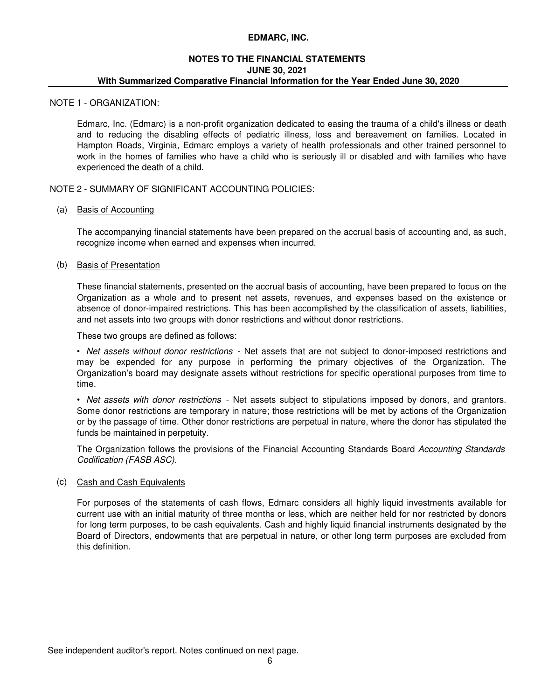### **NOTES TO THE FINANCIAL STATEMENTS JUNE 30, 2021 With Summarized Comparative Financial Information for the Year Ended June 30, 2020**

#### NOTE 1 - ORGANIZATION:

Edmarc, Inc. (Edmarc) is a non-profit organization dedicated to easing the trauma of a child's illness or death and to reducing the disabling effects of pediatric illness, loss and bereavement on families. Located in Hampton Roads, Virginia, Edmarc employs a variety of health professionals and other trained personnel to work in the homes of families who have a child who is seriously ill or disabled and with families who have experienced the death of a child.

NOTE 2 - SUMMARY OF SIGNIFICANT ACCOUNTING POLICIES:

# (a) Basis of Accounting

The accompanying financial statements have been prepared on the accrual basis of accounting and, as such, recognize income when earned and expenses when incurred.

### (b) Basis of Presentation

These financial statements, presented on the accrual basis of accounting, have been prepared to focus on the Organization as a whole and to present net assets, revenues, and expenses based on the existence or absence of donor-impaired restrictions. This has been accomplished by the classification of assets, liabilities, and net assets into two groups with donor restrictions and without donor restrictions.

These two groups are defined as follows:

• *Net assets without donor restrictions* - Net assets that are not subject to donor-imposed restrictions and may be expended for any purpose in performing the primary objectives of the Organization. The Organization's board may designate assets without restrictions for specific operational purposes from time to time.

• *Net assets with donor restrictions* - Net assets subject to stipulations imposed by donors, and grantors. Some donor restrictions are temporary in nature; those restrictions will be met by actions of the Organization or by the passage of time. Other donor restrictions are perpetual in nature, where the donor has stipulated the funds be maintained in perpetuity.

The Organization follows the provisions of the Financial Accounting Standards Board *Accounting Standards Codification (FASB ASC).*

## (c) Cash and Cash Equivalents

For purposes of the statements of cash flows, Edmarc considers all highly liquid investments available for current use with an initial maturity of three months or less, which are neither held for nor restricted by donors for long term purposes, to be cash equivalents. Cash and highly liquid financial instruments designated by the Board of Directors, endowments that are perpetual in nature, or other long term purposes are excluded from this definition.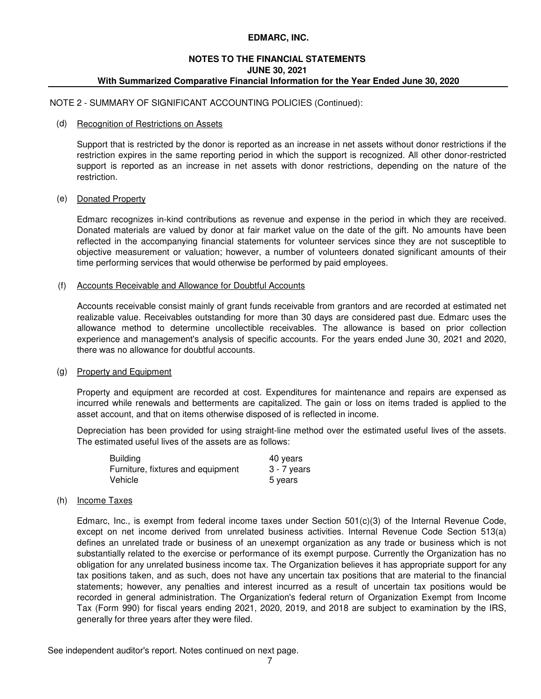# **NOTES TO THE FINANCIAL STATEMENTS With Summarized Comparative Financial Information for the Year Ended June 30, 2020 JUNE 30, 2021**

NOTE 2 - SUMMARY OF SIGNIFICANT ACCOUNTING POLICIES (Continued):

### (d) Recognition of Restrictions on Assets

Support that is restricted by the donor is reported as an increase in net assets without donor restrictions if the restriction expires in the same reporting period in which the support is recognized. All other donor-restricted support is reported as an increase in net assets with donor restrictions, depending on the nature of the restriction.

### (e) Donated Property

Edmarc recognizes in-kind contributions as revenue and expense in the period in which they are received. Donated materials are valued by donor at fair market value on the date of the gift. No amounts have been reflected in the accompanying financial statements for volunteer services since they are not susceptible to objective measurement or valuation; however, a number of volunteers donated significant amounts of their time performing services that would otherwise be performed by paid employees.

### (f) Accounts Receivable and Allowance for Doubtful Accounts

Accounts receivable consist mainly of grant funds receivable from grantors and are recorded at estimated net realizable value. Receivables outstanding for more than 30 days are considered past due. Edmarc uses the allowance method to determine uncollectible receivables. The allowance is based on prior collection experience and management's analysis of specific accounts. For the years ended June 30, 2021 and 2020, there was no allowance for doubtful accounts.

#### (g) Property and Equipment

Property and equipment are recorded at cost. Expenditures for maintenance and repairs are expensed as incurred while renewals and betterments are capitalized. The gain or loss on items traded is applied to the asset account, and that on items otherwise disposed of is reflected in income.

Depreciation has been provided for using straight-line method over the estimated useful lives of the assets. The estimated useful lives of the assets are as follows:

| <b>Building</b>                   | 40 years      |
|-----------------------------------|---------------|
| Furniture, fixtures and equipment | $3 - 7$ years |
| Vehicle                           | 5 years       |

# (h) Income Taxes

Edmarc, Inc., is exempt from federal income taxes under Section 501(c)(3) of the Internal Revenue Code, except on net income derived from unrelated business activities. Internal Revenue Code Section 513(a) defines an unrelated trade or business of an unexempt organization as any trade or business which is not substantially related to the exercise or performance of its exempt purpose. Currently the Organization has no obligation for any unrelated business income tax. The Organization believes it has appropriate support for any tax positions taken, and as such, does not have any uncertain tax positions that are material to the financial statements; however, any penalties and interest incurred as a result of uncertain tax positions would be recorded in general administration. The Organization's federal return of Organization Exempt from Income Tax (Form 990) for fiscal years ending 2021, 2020, 2019, and 2018 are subject to examination by the IRS, generally for three years after they were filed.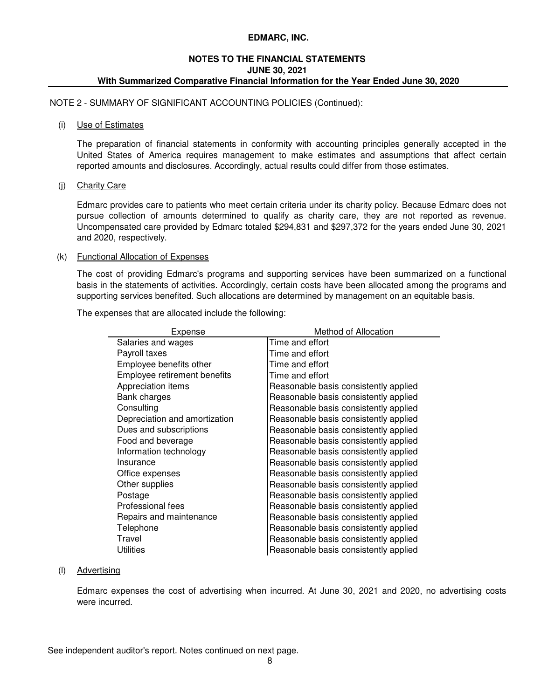### **With Summarized Comparative Financial Information for the Year Ended June 30, 2020 NOTES TO THE FINANCIAL STATEMENTS JUNE 30, 2021**

NOTE 2 - SUMMARY OF SIGNIFICANT ACCOUNTING POLICIES (Continued):

#### (i) Use of Estimates

The preparation of financial statements in conformity with accounting principles generally accepted in the United States of America requires management to make estimates and assumptions that affect certain reported amounts and disclosures. Accordingly, actual results could differ from those estimates.

### (j) Charity Care

Edmarc provides care to patients who meet certain criteria under its charity policy. Because Edmarc does not pursue collection of amounts determined to qualify as charity care, they are not reported as revenue. Uncompensated care provided by Edmarc totaled \$294,831 and \$297,372 for the years ended June 30, 2021 and 2020, respectively.

### (k) Functional Allocation of Expenses

The cost of providing Edmarc's programs and supporting services have been summarized on a functional basis in the statements of activities. Accordingly, certain costs have been allocated among the programs and supporting services benefited. Such allocations are determined by management on an equitable basis.

The expenses that are allocated include the following:

| Expense                       | Method of Allocation                  |
|-------------------------------|---------------------------------------|
| Salaries and wages            | Time and effort                       |
| Payroll taxes                 | Time and effort                       |
| Employee benefits other       | Time and effort                       |
| Employee retirement benefits  | Time and effort                       |
| Appreciation items            | Reasonable basis consistently applied |
| Bank charges                  | Reasonable basis consistently applied |
| Consulting                    | Reasonable basis consistently applied |
| Depreciation and amortization | Reasonable basis consistently applied |
| Dues and subscriptions        | Reasonable basis consistently applied |
| Food and beverage             | Reasonable basis consistently applied |
| Information technology        | Reasonable basis consistently applied |
| Insurance                     | Reasonable basis consistently applied |
| Office expenses               | Reasonable basis consistently applied |
| Other supplies                | Reasonable basis consistently applied |
| Postage                       | Reasonable basis consistently applied |
| <b>Professional fees</b>      | Reasonable basis consistently applied |
| Repairs and maintenance       | Reasonable basis consistently applied |
| Telephone                     | Reasonable basis consistently applied |
| Travel                        | Reasonable basis consistently applied |
| Utilities                     | Reasonable basis consistently applied |

#### (l) Advertising

Edmarc expenses the cost of advertising when incurred. At June 30, 2021 and 2020, no advertising costs were incurred.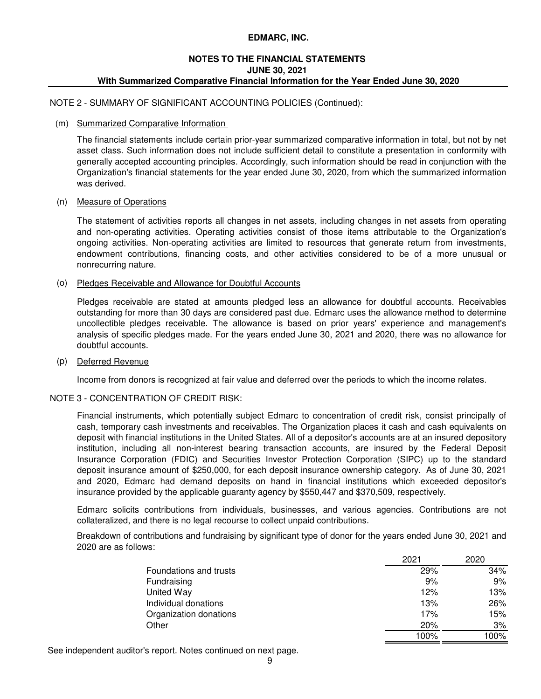# **JUNE 30, 2021 With Summarized Comparative Financial Information for the Year Ended June 30, 2020 NOTES TO THE FINANCIAL STATEMENTS**

### NOTE 2 - SUMMARY OF SIGNIFICANT ACCOUNTING POLICIES (Continued):

#### (m) Summarized Comparative Information

The financial statements include certain prior-year summarized comparative information in total, but not by net asset class. Such information does not include sufficient detail to constitute a presentation in conformity with generally accepted accounting principles. Accordingly, such information should be read in conjunction with the Organization's financial statements for the year ended June 30, 2020, from which the summarized information was derived.

#### (n) Measure of Operations

The statement of activities reports all changes in net assets, including changes in net assets from operating and non-operating activities. Operating activities consist of those items attributable to the Organization's ongoing activities. Non-operating activities are limited to resources that generate return from investments, endowment contributions, financing costs, and other activities considered to be of a more unusual or nonrecurring nature.

#### (o) Pledges Receivable and Allowance for Doubtful Accounts

Pledges receivable are stated at amounts pledged less an allowance for doubtful accounts. Receivables outstanding for more than 30 days are considered past due. Edmarc uses the allowance method to determine uncollectible pledges receivable. The allowance is based on prior years' experience and management's analysis of specific pledges made. For the years ended June 30, 2021 and 2020, there was no allowance for doubtful accounts.

#### (p) Deferred Revenue

Income from donors is recognized at fair value and deferred over the periods to which the income relates.

### NOTE 3 - CONCENTRATION OF CREDIT RISK:

Financial instruments, which potentially subject Edmarc to concentration of credit risk, consist principally of cash, temporary cash investments and receivables. The Organization places it cash and cash equivalents on deposit with financial institutions in the United States. All of a depositor's accounts are at an insured depository institution, including all non-interest bearing transaction accounts, are insured by the Federal Deposit Insurance Corporation (FDIC) and Securities Investor Protection Corporation (SIPC) up to the standard deposit insurance amount of \$250,000, for each deposit insurance ownership category. As of June 30, 2021 and 2020, Edmarc had demand deposits on hand in financial institutions which exceeded depositor's insurance provided by the applicable guaranty agency by \$550,447 and \$370,509, respectively.

Edmarc solicits contributions from individuals, businesses, and various agencies. Contributions are not collateralized, and there is no legal recourse to collect unpaid contributions.

Breakdown of contributions and fundraising by significant type of donor for the years ended June 30, 2021 and 2020 are as follows:

|                        | 2021 | 2020 |
|------------------------|------|------|
| Foundations and trusts | 29%  | 34%  |
| Fundraising            | 9%   | 9%   |
| United Way             | 12%  | 13%  |
| Individual donations   | 13%  | 26%  |
| Organization donations | 17%  | 15%  |
| Other                  | 20%  | 3%   |
|                        | 100% | 100% |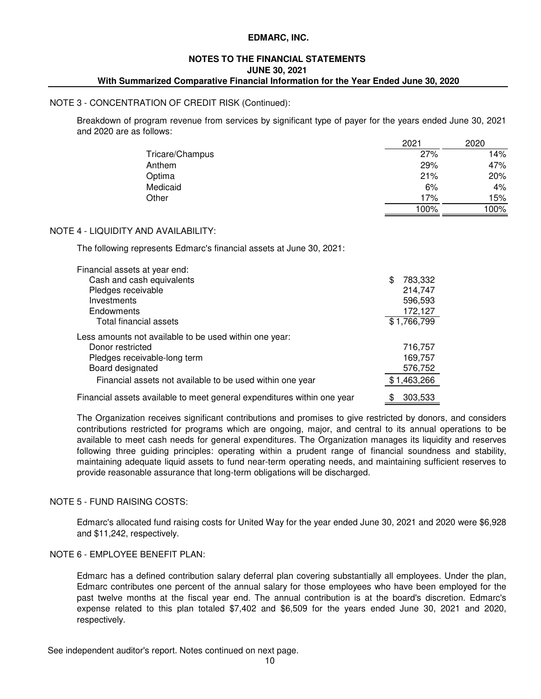### **JUNE 30, 2021 With Summarized Comparative Financial Information for the Year Ended June 30, 2020 NOTES TO THE FINANCIAL STATEMENTS**

#### NOTE 3 - CONCENTRATION OF CREDIT RISK (Continued):

Breakdown of program revenue from services by significant type of payer for the years ended June 30, 2021 and 2020 are as follows:

|                 | 2021 | 2020 |
|-----------------|------|------|
| Tricare/Champus | 27%  | 14%  |
| Anthem          | 29%  | 47%  |
| Optima          | 21%  | 20%  |
| Medicaid        | 6%   | 4%   |
| Other           | 17%  | 15%  |
|                 | 100% | 100% |

### NOTE 4 - LIQUIDITY AND AVAILABILITY:

The following represents Edmarc's financial assets at June 30, 2021:

| Financial assets at year end:                                           |               |
|-------------------------------------------------------------------------|---------------|
| Cash and cash equivalents                                               | 783,332<br>\$ |
| Pledges receivable                                                      | 214,747       |
| Investments                                                             | 596,593       |
| Endowments                                                              | 172,127       |
| Total financial assets                                                  | \$1,766,799   |
| Less amounts not available to be used within one year:                  |               |
| Donor restricted                                                        | 716,757       |
| Pledges receivable-long term                                            | 169,757       |
| Board designated                                                        | 576,752       |
| Financial assets not available to be used within one year               | \$1,463,266   |
| Financial assets available to meet general expenditures within one year | 303,533<br>\$ |

The Organization receives significant contributions and promises to give restricted by donors, and considers contributions restricted for programs which are ongoing, major, and central to its annual operations to be available to meet cash needs for general expenditures. The Organization manages its liquidity and reserves following three guiding principles: operating within a prudent range of financial soundness and stability, maintaining adequate liquid assets to fund near-term operating needs, and maintaining sufficient reserves to provide reasonable assurance that long-term obligations will be discharged.

# NOTE 5 - FUND RAISING COSTS:

Edmarc's allocated fund raising costs for United Way for the year ended June 30, 2021 and 2020 were \$6,928 and \$11,242, respectively.

# NOTE 6 - EMPLOYEE BENEFIT PLAN:

Edmarc has a defined contribution salary deferral plan covering substantially all employees. Under the plan, Edmarc contributes one percent of the annual salary for those employees who have been employed for the past twelve months at the fiscal year end. The annual contribution is at the board's discretion. Edmarc's expense related to this plan totaled \$7,402 and \$6,509 for the years ended June 30, 2021 and 2020, respectively.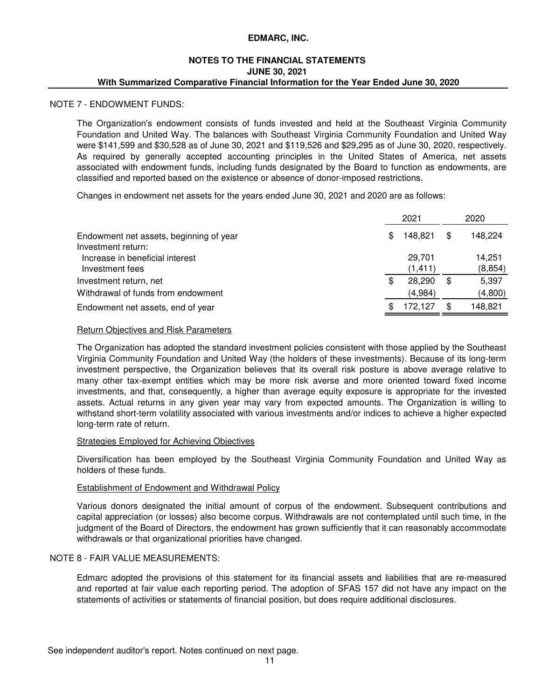#### **NOTES TO THE FINANCIAL STATEMENTS With Summarized Comparative Financial Information for the Year Ended June 30, 2020 JUNE 30, 2021**

#### NOTE 7 - ENDOWMENT FUNDS:

The Organization's endowment consists of funds invested and held at the Southeast Virginia Community Foundation and United Way. The balances with Southeast Virginia Community Foundation and United Way were \$141,599 and \$30,528 as of June 30, 2021 and \$119,526 and \$29,295 as of June 30, 2020, respectively. As required by generally accepted accounting principles in the United States of America, net assets associated with endowment funds, including funds designated by the Board to function as endowments, are classified and reported based on the existence or absence of donor-imposed restrictions.

Changes in endowment net assets for the years ended June 30, 2021 and 2020 are as follows:

|                                                               | 2021               | 2020 |                    |
|---------------------------------------------------------------|--------------------|------|--------------------|
| Endowment net assets, beginning of year<br>Investment return: | \$<br>148.821      | \$   | 148,224            |
| Increase in beneficial interest<br>Investment fees            | 29.701<br>(1, 411) |      | 14,251<br>(8, 854) |
| Investment return, net                                        | \$<br>28,290       | \$   | 5,397              |
| Withdrawal of funds from endowment                            | (4,984)            |      | (4,800)            |
| Endowment net assets, end of year                             | 172.127            | S    | 148,821            |

### **Return Objectives and Risk Parameters**

The Organization has adopted the standard investment policies consistent with those applied by the Southeast Virginia Community Foundation and United Way (the holders of these investments). Because of its long-term investment perspective, the Organization believes that its overall risk posture is above average relative to many other tax-exempt entities which may be more risk averse and more oriented toward fixed income investments, and that, consequently, a higher than average equity exposure is appropriate for the invested assets. Actual returns in any given year may vary from expected amounts. The Organization is willing to withstand short-term volatility associated with various investments and/or indices to achieve a higher expected long-term rate of return.

#### Strategies Employed for Achieving Objectives

Diversification has been employed by the Southeast Virginia Community Foundation and United Way as holders of these funds.

#### Establishment of Endowment and Withdrawal Policy

Various donors designated the initial amount of corpus of the endowment. Subsequent contributions and capital appreciation (or losses) also become corpus. Withdrawals are not contemplated until such time, in the judgment of the Board of Directors, the endowment has grown sufficiently that it can reasonably accommodate withdrawals or that organizational priorities have changed.

# NOTE 8 - FAIR VALUE MEASUREMENTS:

Edmarc adopted the provisions of this statement for its financial assets and liabilities that are re-measured and reported at fair value each reporting period. The adoption of SFAS 157 did not have any impact on the statements of activities or statements of financial position, but does require additional disclosures.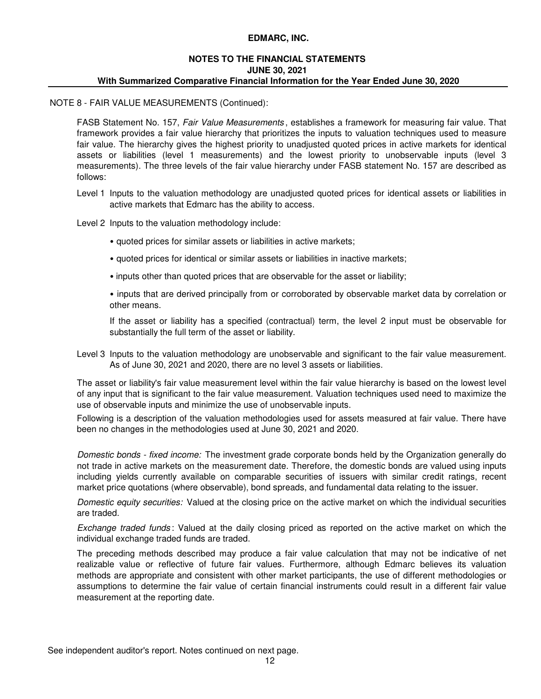# **NOTES TO THE FINANCIAL STATEMENTS With Summarized Comparative Financial Information for the Year Ended June 30, 2020 JUNE 30, 2021**

#### NOTE 8 - FAIR VALUE MEASUREMENTS (Continued):

FASB Statement No. 157, *Fair Value Measurements* , establishes a framework for measuring fair value. That framework provides a fair value hierarchy that prioritizes the inputs to valuation techniques used to measure fair value. The hierarchy gives the highest priority to unadjusted quoted prices in active markets for identical assets or liabilities (level 1 measurements) and the lowest priority to unobservable inputs (level 3 measurements). The three levels of the fair value hierarchy under FASB statement No. 157 are described as follows:

- Level 1 Inputs to the valuation methodology are unadjusted quoted prices for identical assets or liabilities in active markets that Edmarc has the ability to access.
- Level 2 Inputs to the valuation methodology include:
	- quoted prices for similar assets or liabilities in active markets;
	- quoted prices for identical or similar assets or liabilities in inactive markets;
	- inputs other than quoted prices that are observable for the asset or liability;

• inputs that are derived principally from or corroborated by observable market data by correlation or other means.

If the asset or liability has a specified (contractual) term, the level 2 input must be observable for substantially the full term of the asset or liability.

Level 3 Inputs to the valuation methodology are unobservable and significant to the fair value measurement. As of June 30, 2021 and 2020, there are no level 3 assets or liabilities.

The asset or liability's fair value measurement level within the fair value hierarchy is based on the lowest level of any input that is significant to the fair value measurement. Valuation techniques used need to maximize the use of observable inputs and minimize the use of unobservable inputs.

Following is a description of the valuation methodologies used for assets measured at fair value. There have been no changes in the methodologies used at June 30, 2021 and 2020.

*Domestic bonds - fixed income:* The investment grade corporate bonds held by the Organization generally do not trade in active markets on the measurement date. Therefore, the domestic bonds are valued using inputs including yields currently available on comparable securities of issuers with similar credit ratings, recent market price quotations (where observable), bond spreads, and fundamental data relating to the issuer.

*Domestic equity securities:* Valued at the closing price on the active market on which the individual securities are traded.

*Exchange traded funds* : Valued at the daily closing priced as reported on the active market on which the individual exchange traded funds are traded.

The preceding methods described may produce a fair value calculation that may not be indicative of net realizable value or reflective of future fair values. Furthermore, although Edmarc believes its valuation methods are appropriate and consistent with other market participants, the use of different methodologies or assumptions to determine the fair value of certain financial instruments could result in a different fair value measurement at the reporting date.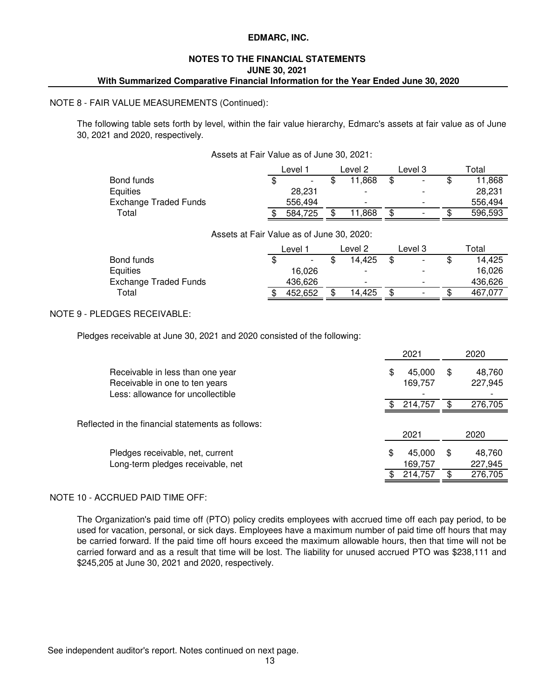### **JUNE 30, 2021 NOTES TO THE FINANCIAL STATEMENTS With Summarized Comparative Financial Information for the Year Ended June 30, 2020**

#### NOTE 8 - FAIR VALUE MEASUREMENTS (Continued):

The following table sets forth by level, within the fair value hierarchy, Edmarc's assets at fair value as of June 30, 2021 and 2020, respectively.

|                       | Level   | Level 2 |   | Level 3                  | Total   |
|-----------------------|---------|---------|---|--------------------------|---------|
| Bond funds            | -       | 11,868  |   | -                        | 11,868  |
| Equities              | 28.231  | -       |   |                          | 28.231  |
| Exchange Traded Funds | 556.494 | -       |   | -                        | 556.494 |
| Total                 | 584,725 | 11,868  | S | $\overline{\phantom{0}}$ | 596,593 |

#### Assets at Fair Value as of June 30, 2020:

|                       | Level                    |   | Level 2 | Level 3                  | $\tau$ otal |
|-----------------------|--------------------------|---|---------|--------------------------|-------------|
| Bond funds            | $\overline{\phantom{a}}$ |   | 14.425  | -                        | 14,425      |
| Equities              | 16.026                   |   |         |                          | 16.026      |
| Exchange Traded Funds | 436.626                  |   | -       | $\overline{\phantom{0}}$ | 436.626     |
| Total                 | 452,652                  | S | 14,425  | $\overline{\phantom{0}}$ | 467.077     |

# NOTE 9 - PLEDGES RECEIVABLE:

Pledges receivable at June 30, 2021 and 2020 consisted of the following:

|                                                                                                         | 2021 |                   |    | 2020              |  |
|---------------------------------------------------------------------------------------------------------|------|-------------------|----|-------------------|--|
| Receivable in less than one year<br>Receivable in one to ten years<br>Less: allowance for uncollectible | \$   | 45,000<br>169,757 | \$ | 48,760<br>227,945 |  |
|                                                                                                         |      | 214.757           | £. | 276,705           |  |
| Reflected in the financial statements as follows:                                                       |      | 2021              |    | 2020              |  |
| Pledges receivable, net, current<br>Long-term pledges receivable, net                                   | \$   | 45,000<br>169,757 | \$ | 48,760<br>227,945 |  |
|                                                                                                         |      | 214,757           |    | 276,705           |  |

# NOTE 10 - ACCRUED PAID TIME OFF:

The Organization's paid time off (PTO) policy credits employees with accrued time off each pay period, to be used for vacation, personal, or sick days. Employees have a maximum number of paid time off hours that may be carried forward. If the paid time off hours exceed the maximum allowable hours, then that time will not be carried forward and as a result that time will be lost. The liability for unused accrued PTO was \$238,111 and \$245,205 at June 30, 2021 and 2020, respectively.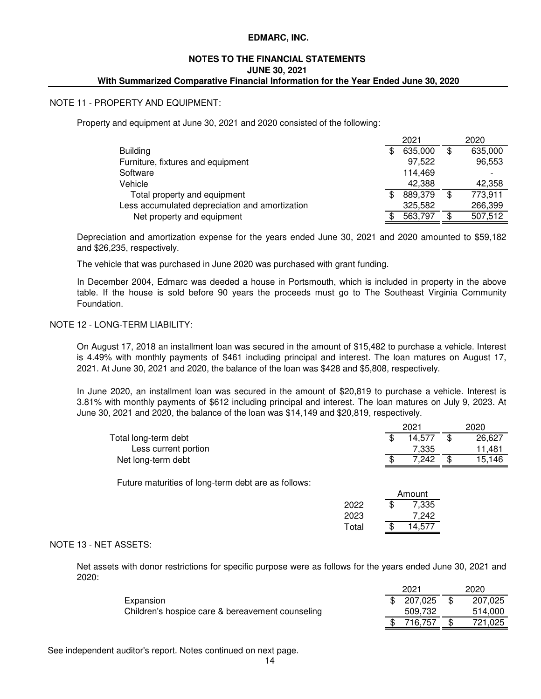### **NOTES TO THE FINANCIAL STATEMENTS JUNE 30, 2021 With Summarized Comparative Financial Information for the Year Ended June 30, 2020**

### NOTE 11 - PROPERTY AND EQUIPMENT:

Property and equipment at June 30, 2021 and 2020 consisted of the following:

|                                                |     | 2021    |   | 2020    |
|------------------------------------------------|-----|---------|---|---------|
| <b>Building</b>                                | \$  | 635,000 | S | 635,000 |
| Furniture, fixtures and equipment              |     | 97,522  |   | 96,553  |
| Software                                       |     | 114.469 |   |         |
| Vehicle                                        |     | 42.388  |   | 42,358  |
| Total property and equipment                   | \$. | 889,379 | S | 773,911 |
| Less accumulated depreciation and amortization |     | 325,582 |   | 266,399 |
| Net property and equipment                     |     | 563,797 |   | 507,512 |

Depreciation and amortization expense for the years ended June 30, 2021 and 2020 amounted to \$59,182 and \$26,235, respectively.

The vehicle that was purchased in June 2020 was purchased with grant funding.

In December 2004, Edmarc was deeded a house in Portsmouth, which is included in property in the above table. If the house is sold before 90 years the proceeds must go to The Southeast Virginia Community Foundation.

#### NOTE 12 - LONG-TERM LIABILITY:

On August 17, 2018 an installment loan was secured in the amount of \$15,482 to purchase a vehicle. Interest is 4.49% with monthly payments of \$461 including principal and interest. The loan matures on August 17, 2021. At June 30, 2021 and 2020, the balance of the loan was \$428 and \$5,808, respectively.

In June 2020, an installment loan was secured in the amount of \$20,819 to purchase a vehicle. Interest is 3.81% with monthly payments of \$612 including principal and interest. The loan matures on July 9, 2023. At June 30, 2021 and 2020, the balance of the loan was \$14,149 and \$20,819, respectively.

| $202 -$ |  | 2020   |  |  |
|---------|--|--------|--|--|
| 14.577  |  | 26,627 |  |  |
| 7.335   |  | 11.481 |  |  |
| 7.242   |  | 15.146 |  |  |
|         |  |        |  |  |

Future maturities of long-term debt are as follows:

|       | Amount       |
|-------|--------------|
| 2022  | \$<br>7,335  |
| 2023  | 7,242        |
| Total | \$<br>14,577 |

#### NOTE 13 - NET ASSETS:

Net assets with donor restrictions for specific purpose were as follows for the years ended June 30, 2021 and 2020:

|                                                  | 2021      | 2020    |
|--------------------------------------------------|-----------|---------|
| Expansion                                        | \$207,025 | 207,025 |
| Children's hospice care & bereavement counseling | 509,732   | 514,000 |
|                                                  | 716.757   | 721,025 |
|                                                  |           |         |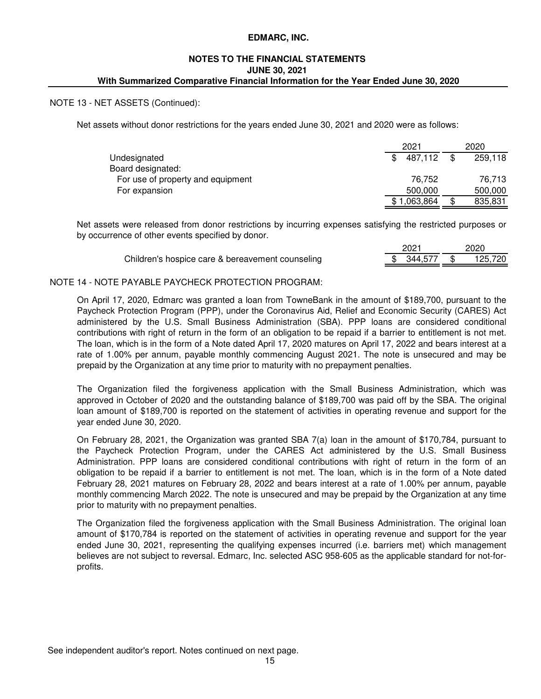# **With Summarized Comparative Financial Information for the Year Ended June 30, 2020 NOTES TO THE FINANCIAL STATEMENTS JUNE 30, 2021**

### NOTE 13 - NET ASSETS (Continued):

Net assets without donor restrictions for the years ended June 30, 2021 and 2020 were as follows:

|                                   | 2021      | 2020          |
|-----------------------------------|-----------|---------------|
| Undesignated                      | 487,112   | 259,118       |
| Board designated:                 |           |               |
| For use of property and equipment | 76.752    | 76.713        |
| For expansion                     | 500,000   | 500,000       |
|                                   | 1,063,864 | \$<br>835,831 |

Net assets were released from donor restrictions by incurring expenses satisfying the restricted purposes or by occurrence of other events specified by donor.

|                                                  | 2021          | 2020    |
|--------------------------------------------------|---------------|---------|
| Children's hospice care & bereavement counseling | \$ 344.577 \$ | 125.720 |

#### NOTE 14 - NOTE PAYABLE PAYCHECK PROTECTION PROGRAM:

On April 17, 2020, Edmarc was granted a loan from TowneBank in the amount of \$189,700, pursuant to the Paycheck Protection Program (PPP), under the Coronavirus Aid, Relief and Economic Security (CARES) Act administered by the U.S. Small Business Administration (SBA). PPP loans are considered conditional contributions with right of return in the form of an obligation to be repaid if a barrier to entitlement is not met. The loan, which is in the form of a Note dated April 17, 2020 matures on April 17, 2022 and bears interest at a rate of 1.00% per annum, payable monthly commencing August 2021. The note is unsecured and may be prepaid by the Organization at any time prior to maturity with no prepayment penalties.

The Organization filed the forgiveness application with the Small Business Administration, which was approved in October of 2020 and the outstanding balance of \$189,700 was paid off by the SBA. The original loan amount of \$189,700 is reported on the statement of activities in operating revenue and support for the year ended June 30, 2020.

On February 28, 2021, the Organization was granted SBA 7(a) loan in the amount of \$170,784, pursuant to the Paycheck Protection Program, under the CARES Act administered by the U.S. Small Business Administration. PPP loans are considered conditional contributions with right of return in the form of an obligation to be repaid if a barrier to entitlement is not met. The loan, which is in the form of a Note dated February 28, 2021 matures on February 28, 2022 and bears interest at a rate of 1.00% per annum, payable monthly commencing March 2022. The note is unsecured and may be prepaid by the Organization at any time prior to maturity with no prepayment penalties.

The Organization filed the forgiveness application with the Small Business Administration. The original loan amount of \$170,784 is reported on the statement of activities in operating revenue and support for the year ended June 30, 2021, representing the qualifying expenses incurred (i.e. barriers met) which management believes are not subject to reversal. Edmarc, Inc. selected ASC 958-605 as the applicable standard for not-forprofits.